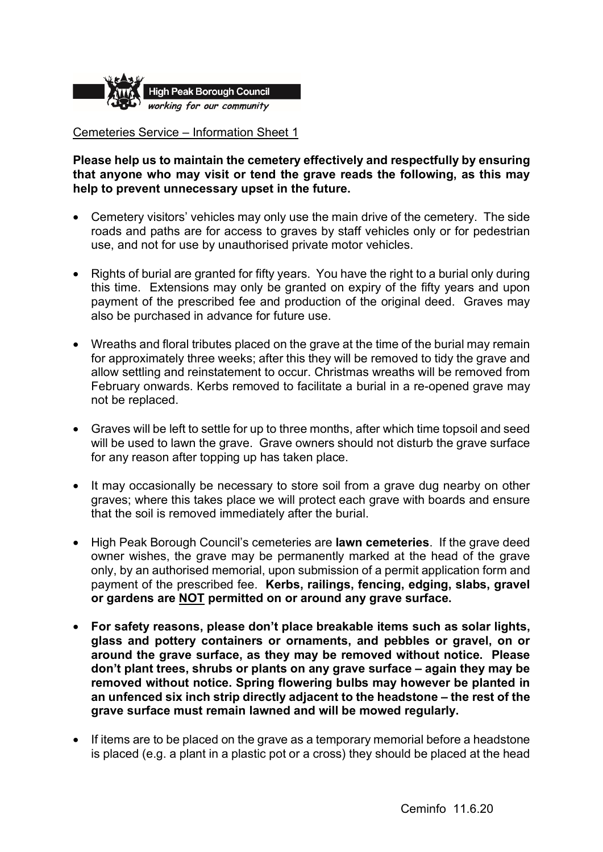

## Cemeteries Service – Information Sheet 1

**Please help us to maintain the cemetery effectively and respectfully by ensuring that anyone who may visit or tend the grave reads the following, as this may help to prevent unnecessary upset in the future.** 

- • Cemetery visitors' vehicles may only use the main drive of the cemetery. The side roads and paths are for access to graves by staff vehicles only or for pedestrian use, and not for use by unauthorised private motor vehicles.
- Rights of burial are granted for fifty years. You have the right to a burial only during this time. Extensions may only be granted on expiry of the fifty years and upon payment of the prescribed fee and production of the original deed. Graves may also be purchased in advance for future use.
- Wreaths and floral tributes placed on the grave at the time of the burial may remain for approximately three weeks; after this they will be removed to tidy the grave and allow settling and reinstatement to occur. Christmas wreaths will be removed from February onwards. Kerbs removed to facilitate a burial in a re-opened grave may not be replaced.
- for any reason after topping up has taken place. • Graves will be left to settle for up to three months, after which time topsoil and seed will be used to lawn the grave. Grave owners should not disturb the grave surface
- It may occasionally be necessary to store soil from a grave dug nearby on other graves; where this takes place we will protect each grave with boards and ensure that the soil is removed immediately after the burial.
- owner wishes, the grave may be permanently marked at the head of the grave only, by an authorised memorial, upon submission of a permit application form and payment of the prescribed fee. **Kerbs, railings, fencing, edging, slabs, gravel or gardens are NOT permitted on or around any grave surface.**  • High Peak Borough Council's cemeteries are **lawn cemeteries**. If the grave deed
- **For safety reasons, please don't place breakable items such as solar lights, an unfenced six inch strip directly adjacent to the headstone – the rest of the glass and pottery containers or ornaments, and pebbles or gravel, on or around the grave surface, as they may be removed without notice. Please don't plant trees, shrubs or plants on any grave surface – again they may be removed without notice. Spring flowering bulbs may however be planted in grave surface must remain lawned and will be mowed regularly.**
- If items are to be placed on the grave as a temporary memorial before a headstone is placed (e.g. a plant in a plastic pot or a cross) they should be placed at the head